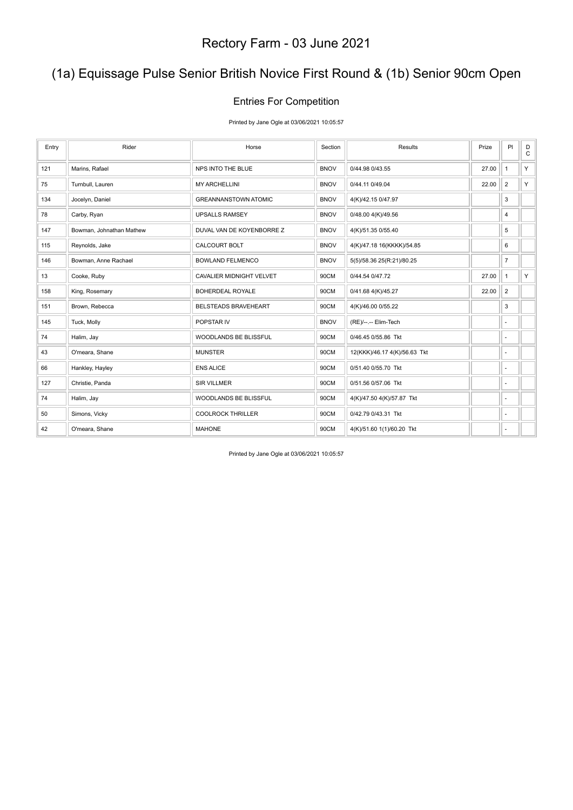## (1a) Equissage Pulse Senior British Novice First Round & (1b) Senior 90cm Open

#### Entries For Competition

Printed by Jane Ogle at 03/06/2021 10:05:57

| Entry | Rider                    | Horse                           | Section     | Results                      | Prize | PI                       | D<br>$\mathtt{C}$ |
|-------|--------------------------|---------------------------------|-------------|------------------------------|-------|--------------------------|-------------------|
| 121   | Marins, Rafael           | NPS INTO THE BLUE               | <b>BNOV</b> | 0/44.98 0/43.55              | 27.00 | $\mathbf{1}$             | Y                 |
| 75    | Turnbull, Lauren         | <b>MY ARCHELLINI</b>            | <b>BNOV</b> | 0/44.11 0/49.04              | 22.00 | $\overline{2}$           | Y.                |
| 134   | Jocelyn, Daniel          | <b>GREANNANSTOWN ATOMIC</b>     | <b>BNOV</b> | 4(K)/42.15 0/47.97           |       | 3                        |                   |
| 78    | Carby, Ryan              | <b>UPSALLS RAMSEY</b>           | <b>BNOV</b> | 0/48.00 4(K)/49.56           |       | 4                        |                   |
| 147   | Bowman, Johnathan Mathew | DUVAL VAN DE KOYENBORRE Z       | <b>BNOV</b> | 4(K)/51.35 0/55.40           |       | 5                        |                   |
| 115   | Reynolds, Jake           | <b>CALCOURT BOLT</b>            | <b>BNOV</b> | 4(K)/47.18 16(KKKK)/54.85    |       | 6                        |                   |
| 146   | Bowman, Anne Rachael     | <b>BOWLAND FELMENCO</b>         | <b>BNOV</b> | 5(5)/58.36 25(R:21)/80.25    |       | $\overline{7}$           |                   |
| 13    | Cooke, Ruby              | <b>CAVALIER MIDNIGHT VELVET</b> | 90CM        | 0/44.54 0/47.72              | 27.00 | $\mathbf{1}$             | Y.                |
| 158   | King, Rosemary           | BOHERDEAL ROYALE                | 90CM        | 0/41.68 4(K)/45.27           | 22.00 | $\overline{2}$           |                   |
| 151   | Brown, Rebecca           | <b>BELSTEADS BRAVEHEART</b>     | 90CM        | 4(K)/46.00 0/55.22           |       | 3                        |                   |
| 145   | Tuck, Molly              | POPSTAR IV                      | <b>BNOV</b> | (RE)/--.-- Elim-Tech         |       | $\overline{\phantom{a}}$ |                   |
| 74    | Halim, Jay               | WOODLANDS BE BLISSFUL           | 90CM        | 0/46.45 0/55.86 Tkt          |       | $\overline{\phantom{a}}$ |                   |
| 43    | O'meara, Shane           | <b>MUNSTER</b>                  | 90CM        | 12(KKK)/46.17 4(K)/56.63 Tkt |       | $\sim$                   |                   |
| 66    | Hankley, Hayley          | <b>ENS ALICE</b>                | 90CM        | 0/51.40 0/55.70 Tkt          |       | ٠                        |                   |
| 127   | Christie, Panda          | <b>SIR VILLMER</b>              | 90CM        | 0/51.56 0/57.06 Tkt          |       | $\sim$                   |                   |
| 74    | Halim, Jay               | WOODLANDS BE BLISSFUL           | 90CM        | 4(K)/47.50 4(K)/57.87 Tkt    |       | ٠                        |                   |
| 50    | Simons, Vicky            | <b>COOLROCK THRILLER</b>        | 90CM        | 0/42.79 0/43.31 Tkt          |       | $\overline{\phantom{a}}$ |                   |
| 42    | O'meara, Shane           | <b>MAHONE</b>                   | 90CM        | 4(K)/51.60 1(1)/60.20 Tkt    |       | ×.                       |                   |

Printed by Jane Ogle at 03/06/2021 10:05:57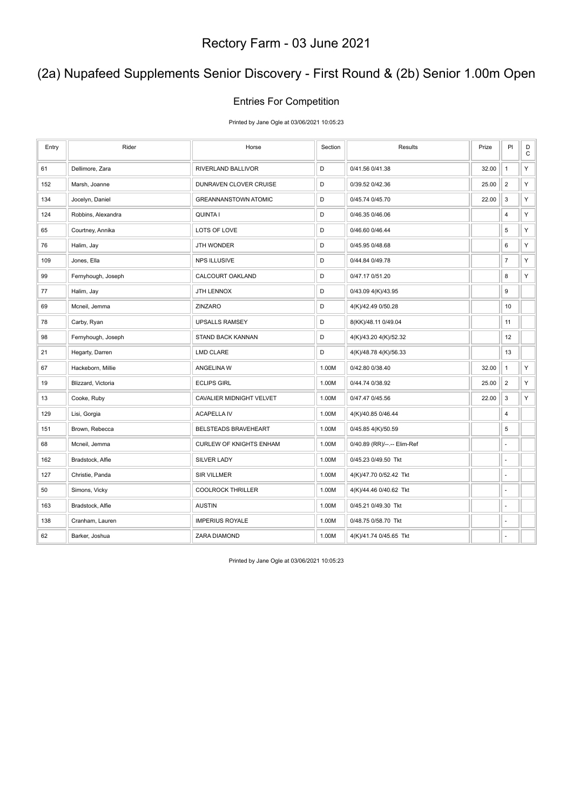## (2a) Nupafeed Supplements Senior Discovery - First Round & (2b) Senior 1.00m Open

#### Entries For Competition

Printed by Jane Ogle at 03/06/2021 10:05:23

| Entry | Rider              | Horse                          | Section | Results                     | Prize | PI               | D<br>$\mathsf C$ |
|-------|--------------------|--------------------------------|---------|-----------------------------|-------|------------------|------------------|
| 61    | Dellimore, Zara    | RIVERLAND BALLIVOR             | D       | 0/41.56 0/41.38             | 32.00 | $\mathbf{1}$     | Υ                |
| 152   | Marsh, Joanne      | DUNRAVEN CLOVER CRUISE         | D       | 0/39.52 0/42.36             | 25.00 | $\overline{2}$   | Υ                |
| 134   | Jocelyn, Daniel    | <b>GREANNANSTOWN ATOMIC</b>    | D       | 0/45.74 0/45.70             | 22.00 | $\mathsf 3$      | Y                |
| 124   | Robbins, Alexandra | <b>QUINTA I</b>                | D       | 0/46.35 0/46.06             |       | $\overline{4}$   | Υ                |
| 65    | Courtney, Annika   | LOTS OF LOVE                   | D       | 0/46.60 0/46.44             |       | $\,$ 5 $\,$      | Υ                |
| 76    | Halim, Jay         | JTH WONDER                     | D       | 0/45.95 0/48.68             |       | 6                | Υ                |
| 109   | Jones, Ella        | <b>NPS ILLUSIVE</b>            | D       | 0/44.84 0/49.78             |       | $\overline{7}$   | Υ                |
| 99    | Fernyhough, Joseph | CALCOURT OAKLAND               | D       | 0/47.17 0/51.20             |       | $\bf 8$          | Υ                |
| 77    | Halim, Jay         | JTH LENNOX                     | D       | 0/43.09 4(K)/43.95          |       | $\boldsymbol{9}$ |                  |
| 69    | Mcneil, Jemma      | ZINZARO                        | D       | 4(K)/42.49 0/50.28          |       | 10               |                  |
| 78    | Carby, Ryan        | <b>UPSALLS RAMSEY</b>          | D       | 8(KK)/48.11 0/49.04         |       | 11               |                  |
| 98    | Fernyhough, Joseph | STAND BACK KANNAN              | D       | 4(K)/43.20 4(K)/52.32       |       | 12               |                  |
| 21    | Hegarty, Darren    | <b>LMD CLARE</b>               | D       | 4(K)/48.78 4(K)/56.33       |       | 13               |                  |
| 67    | Hackeborn, Millie  | ANGELINA W                     | 1.00M   | 0/42.80 0/38.40             | 32.00 | $\mathbf{1}$     | Υ                |
| 19    | Blizzard, Victoria | <b>ECLIPS GIRL</b>             | 1.00M   | 0/44.74 0/38.92             | 25.00 | $\overline{2}$   | Υ                |
| 13    | Cooke, Ruby        | CAVALIER MIDNIGHT VELVET       | 1.00M   | 0/47.47 0/45.56             | 22.00 | $\mathsf 3$      | Υ                |
| 129   | Lisi, Gorgia       | <b>ACAPELLA IV</b>             | 1.00M   | 4(K)/40.85 0/46.44          |       | $\overline{4}$   |                  |
| 151   | Brown, Rebecca     | <b>BELSTEADS BRAVEHEART</b>    | 1.00M   | 0/45.85 4(K)/50.59          |       | $\,$ 5 $\,$      |                  |
| 68    | Mcneil, Jemma      | <b>CURLEW OF KNIGHTS ENHAM</b> | 1.00M   | 0/40.89 (RR)/--.-- Elim-Ref |       | ä,               |                  |
| 162   | Bradstock, Alfie   | SILVER LADY                    | 1.00M   | 0/45.23 0/49.50 Tkt         |       | J.               |                  |
| 127   | Christie, Panda    | <b>SIR VILLMER</b>             | 1.00M   | 4(K)/47.70 0/52.42 Tkt      |       | $\sim$           |                  |
| 50    | Simons, Vicky      | <b>COOLROCK THRILLER</b>       | 1.00M   | 4(K)/44.46 0/40.62 Tkt      |       | ÷,               |                  |
| 163   | Bradstock, Alfie   | <b>AUSTIN</b>                  | 1.00M   | 0/45.21 0/49.30 Tkt         |       | ä,               |                  |
| 138   | Cranham, Lauren    | <b>IMPERIUS ROYALE</b>         | 1.00M   | 0/48.75 0/58.70 Tkt         |       |                  |                  |
| 62    | Barker, Joshua     | ZARA DIAMOND                   | 1.00M   | 4(K)/41.74 0/45.65 Tkt      |       |                  |                  |

Printed by Jane Ogle at 03/06/2021 10:05:23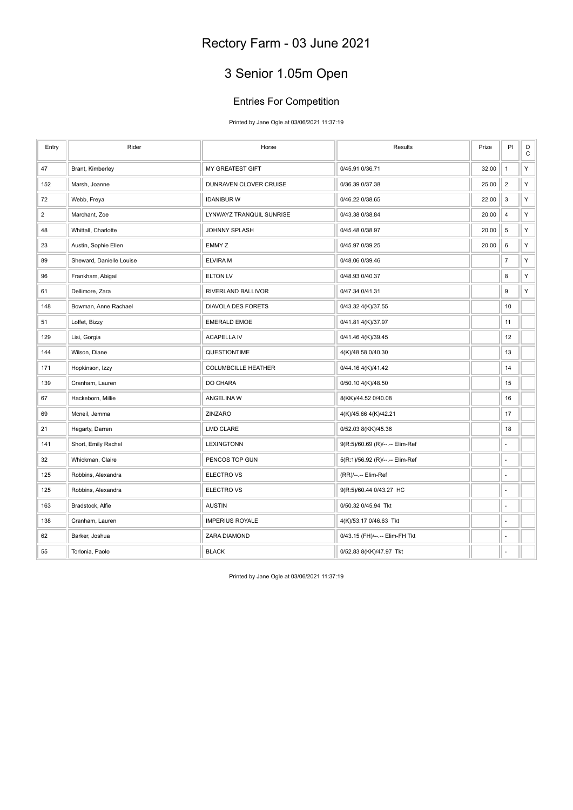# 3 Senior 1.05m Open

#### Entries For Competition

Printed by Jane Ogle at 03/06/2021 11:37:19

| Entry          | Rider                    | Horse                      | Results                         | Prize | PI             | D<br>$\mathbf C$ |
|----------------|--------------------------|----------------------------|---------------------------------|-------|----------------|------------------|
| 47             | Brant, Kimberley         | MY GREATEST GIFT           | 0/45.91 0/36.71                 | 32.00 | $\mathbf{1}$   | Υ                |
| 152            | Marsh, Joanne            | DUNRAVEN CLOVER CRUISE     | 0/36.39 0/37.38                 | 25.00 | $\overline{2}$ | Υ                |
| 72             | Webb, Freya              | <b>IDANIBUR W</b>          | 0/46.22 0/38.65                 | 22.00 | $\mathsf 3$    | Υ                |
| $\overline{2}$ | Marchant, Zoe            | LYNWAYZ TRANQUIL SUNRISE   | 0/43.38 0/38.84                 | 20.00 | $\sqrt{4}$     | Υ                |
| 48             | Whittall, Charlotte      | <b>JOHNNY SPLASH</b>       | 0/45.48 0/38.97                 | 20.00 | 5              | Υ                |
| 23             | Austin, Sophie Ellen     | EMMY Z                     | 0/45.97 0/39.25                 | 20.00 | 6              | Υ                |
| 89             | Sheward, Danielle Louise | <b>ELVIRAM</b>             | 0/48.06 0/39.46                 |       | $\overline{7}$ | Υ                |
| 96             | Frankham, Abigail        | <b>ELTON LV</b>            | 0/48.93 0/40.37                 |       | 8              | Υ                |
| 61             | Dellimore, Zara          | RIVERLAND BALLIVOR         | 0/47.34 0/41.31                 |       | 9              | Υ                |
| 148            | Bowman, Anne Rachael     | DIAVOLA DES FORETS         | 0/43.32 4(K)/37.55              |       | $10$           |                  |
| 51             | Loffet, Bizzy            | <b>EMERALD EMOE</b>        | 0/41.81 4(K)/37.97              |       | 11             |                  |
| 129            | Lisi, Gorgia             | <b>ACAPELLA IV</b>         | 0/41.46 4(K)/39.45              |       | 12             |                  |
| 144            | Wilson, Diane            | QUESTIONTIME               | 4(K)/48.58 0/40.30              |       | 13             |                  |
| 171            | Hopkinson, Izzy          | <b>COLUMBCILLE HEATHER</b> | 0/44.16 4(K)/41.42              |       | 14             |                  |
| 139            | Cranham, Lauren          | DO CHARA                   | 0/50.10 4(K)/48.50              |       | 15             |                  |
| 67             | Hackeborn, Millie        | ANGELINA W                 | 8(KK)/44.52 0/40.08             |       | 16             |                  |
| 69             | Mcneil, Jemma            | ZINZARO                    | 4(K)/45.66 4(K)/42.21           |       | 17             |                  |
| 21             | Hegarty, Darren          | <b>LMD CLARE</b>           | 0/52.03 8(KK)/45.36             |       | 18             |                  |
| 141            | Short, Emily Rachel      | LEXINGTONN                 | 9(R:5)/60.69 (R)/--.-- Elim-Ref |       | ÷,             |                  |
| 32             | Whickman, Claire         | PENCOS TOP GUN             | 5(R:1)/56.92 (R)/--.-- Elim-Ref |       | ٠              |                  |
| 125            | Robbins, Alexandra       | ELECTRO VS                 | (RR)/--.-- Elim-Ref             |       | ä,             |                  |
| 125            | Robbins, Alexandra       | ELECTRO VS                 | 9(R:5)/60.44 0/43.27 HC         |       | ä,             |                  |
| 163            | Bradstock, Alfie         | <b>AUSTIN</b>              | 0/50.32 0/45.94 Tkt             |       | ÷,             |                  |
| 138            | Cranham, Lauren          | <b>IMPERIUS ROYALE</b>     | 4(K)/53.17 0/46.63 Tkt          |       | ä,             |                  |
| 62             | Barker, Joshua           | ZARA DIAMOND               | 0/43.15 (FH)/--.-- Elim-FH Tkt  |       |                |                  |
| 55             | Torlonia, Paolo          | <b>BLACK</b>               | 0/52.83 8(KK)/47.97 Tkt         |       | ä,             |                  |

Printed by Jane Ogle at 03/06/2021 11:37:19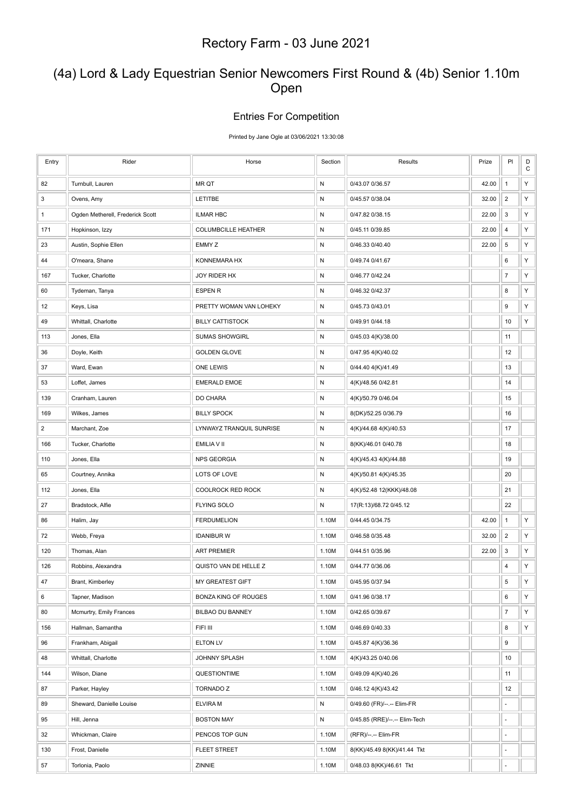### (4a) Lord & Lady Equestrian Senior Newcomers First Round & (4b) Senior 1.10m Open

#### Entries For Competition

Printed by Jane Ogle at 03/06/2021 13:30:08

| Entry          | Rider                            | Horse                    | Section   | Results                       | Prize | PI                       | D<br>$\mathbf C$ |
|----------------|----------------------------------|--------------------------|-----------|-------------------------------|-------|--------------------------|------------------|
| 82             | Turnbull, Lauren                 | MR QT                    | ${\sf N}$ | 0/43.07 0/36.57               | 42.00 | $\mathbf{1}$             | Υ                |
| 3              | Ovens, Amy                       | <b>LETITBE</b>           | N         | 0/45.57 0/38.04               | 32.00 | $\overline{c}$           | Υ                |
| $\mathbf{1}$   | Ogden Metherell, Frederick Scott | <b>ILMAR HBC</b>         | ${\sf N}$ | 0/47.82 0/38.15               | 22.00 | 3                        | Υ                |
| 171            | Hopkinson, Izzy                  | COLUMBCILLE HEATHER      | N         | 0/45.11 0/39.85               | 22.00 | $\overline{4}$           | Υ                |
| 23             | Austin, Sophie Ellen             | EMMY Z                   | N         | 0/46.33 0/40.40               | 22.00 | 5                        | Y                |
| 44             | O'meara, Shane                   | KONNEMARA HX             | ${\sf N}$ | 0/49.74 0/41.67               |       | 6                        | Y                |
| 167            | Tucker, Charlotte                | JOY RIDER HX             | N         | 0/46.77 0/42.24               |       | $\overline{7}$           | Y                |
| 60             | Tydeman, Tanya                   | ESPEN R                  | N         | 0/46.32 0/42.37               |       | 8                        | Υ                |
| 12             | Keys, Lisa                       | PRETTY WOMAN VAN LOHEKY  | N         | 0/45.73 0/43.01               |       | 9                        | Υ                |
| 49             | Whittall, Charlotte              | <b>BILLY CATTISTOCK</b>  | N         | 0/49.91 0/44.18               |       | 10                       | Υ                |
| 113            | Jones, Ella                      | <b>SUMAS SHOWGIRL</b>    | N         | 0/45.03 4(K)/38.00            |       | 11                       |                  |
| 36             | Doyle, Keith                     | <b>GOLDEN GLOVE</b>      | N         | 0/47.95 4(K)/40.02            |       | 12                       |                  |
| 37             | Ward, Ewan                       | ONE LEWIS                | N         | 0/44.40 4(K)/41.49            |       | 13                       |                  |
| 53             | Loffet, James                    | <b>EMERALD EMOE</b>      | ${\sf N}$ | 4(K)/48.56 0/42.81            |       | 14                       |                  |
| 139            | Cranham, Lauren                  | DO CHARA                 | N         | 4(K)/50.79 0/46.04            |       | 15                       |                  |
| 169            | Wilkes, James                    | <b>BILLY SPOCK</b>       | N         | 8(DK)/52.25 0/36.79           |       | 16                       |                  |
| $\overline{c}$ | Marchant, Zoe                    | LYNWAYZ TRANQUIL SUNRISE | N         | 4(K)/44.68 4(K)/40.53         |       | 17                       |                  |
| 166            | Tucker, Charlotte                | EMILIA V II              | N         | 8(KK)/46.01 0/40.78           |       | 18                       |                  |
| 110            | Jones, Ella                      | <b>NPS GEORGIA</b>       | N         | 4(K)/45.43 4(K)/44.88         |       | 19                       |                  |
| 65             | Courtney, Annika                 | LOTS OF LOVE             | N         | 4(K)/50.81 4(K)/45.35         |       | 20                       |                  |
| 112            | Jones, Ella                      | COOLROCK RED ROCK        | ${\sf N}$ | 4(K)/52.48 12(KKK)/48.08      |       | 21                       |                  |
| 27             | Bradstock, Alfie                 | <b>FLYING SOLO</b>       | N         | 17(R:13)/68.72 0/45.12        |       | 22                       |                  |
| 86             | Halim, Jay                       | <b>FERDUMELION</b>       | 1.10M     | 0/44.45 0/34.75               | 42.00 | $\mathbf{1}$             | Υ                |
| 72             | Webb, Freya                      | <b>IDANIBUR W</b>        | 1.10M     | 0/46.58 0/35.48               | 32.00 | $\overline{2}$           | Υ                |
| 120            | Thomas, Alan                     | ART PREMIER              | 1.10M     | 0/44.51 0/35.96               | 22.00 | 3                        | Υ                |
| 126            | Robbins, Alexandra               | QUISTO VAN DE HELLE Z    | 1.10M     | 0/44.77 0/36.06               |       | 4                        | Y                |
| 47             | Brant, Kimberley                 | MY GREATEST GIFT         | 1.10M     | 0/45.95 0/37.94               |       | 5                        | Y                |
| 6              | Tapner, Madison                  | BONZA KING OF ROUGES     | 1.10M     | 0/41.96 0/38.17               |       | 6                        | Y                |
| 80             | Mcmurtry, Emily Frances          | BILBAO DU BANNEY         | 1.10M     | 0/42.65 0/39.67               |       | $\overline{7}$           | Y                |
| 156            | Hallman, Samantha                | FIFI III                 | 1.10M     | 0/46.69 0/40.33               |       | 8                        | Y                |
| 96             | Frankham, Abigail                | ELTON LV                 | 1.10M     | 0/45.87 4(K)/36.36            |       | 9                        |                  |
| 48             | Whittall, Charlotte              | JOHNNY SPLASH            | 1.10M     | 4(K)/43.25 0/40.06            |       | 10                       |                  |
| 144            | Wilson, Diane                    | <b>QUESTIONTIME</b>      | 1.10M     | 0/49.09 4(K)/40.26            |       | 11                       |                  |
| 87             | Parker, Hayley                   | TORNADO Z                | 1.10M     | 0/46.12 4(K)/43.42            |       | 12                       |                  |
| 89             | Sheward, Danielle Louise         | ELVIRA M                 | N         | 0/49.60 (FR)/--.-- Elim-FR    |       | $\frac{1}{2}$            |                  |
| 95             | Hill, Jenna                      | <b>BOSTON MAY</b>        | ${\sf N}$ | 0/45.85 (RRE)/--.-- Elim-Tech |       | ÷                        |                  |
| 32             | Whickman, Claire                 | PENCOS TOP GUN           | 1.10M     | (RFR)/--.-- Elim-FR           |       | ä,                       |                  |
| 130            | Frost, Danielle                  | FLEET STREET             | 1.10M     | 8(KK)/45.49 8(KK)/41.44 Tkt   |       | $\overline{\phantom{a}}$ |                  |
| 57             | Torlonia, Paolo                  | ZINNIE                   | 1.10M     | 0/48.03 8(KK)/46.61 Tkt       |       |                          |                  |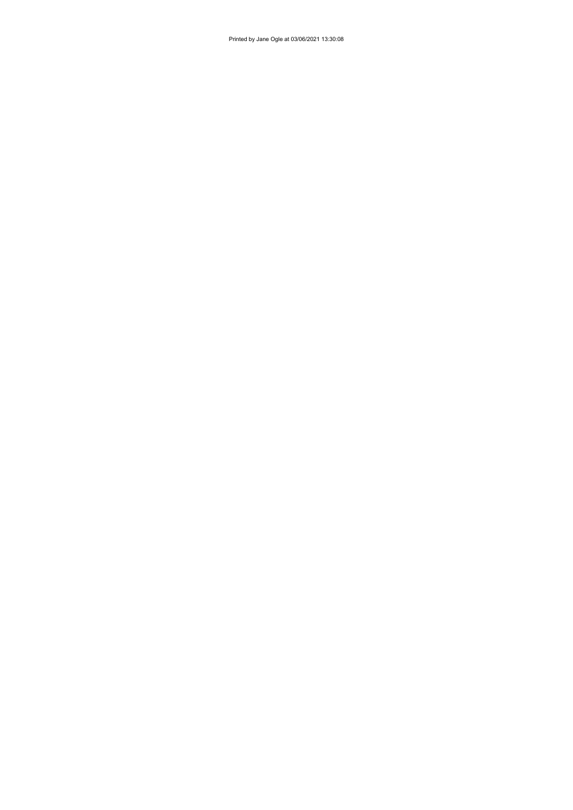Printed by Jane Ogle at 03/06/2021 13:30:08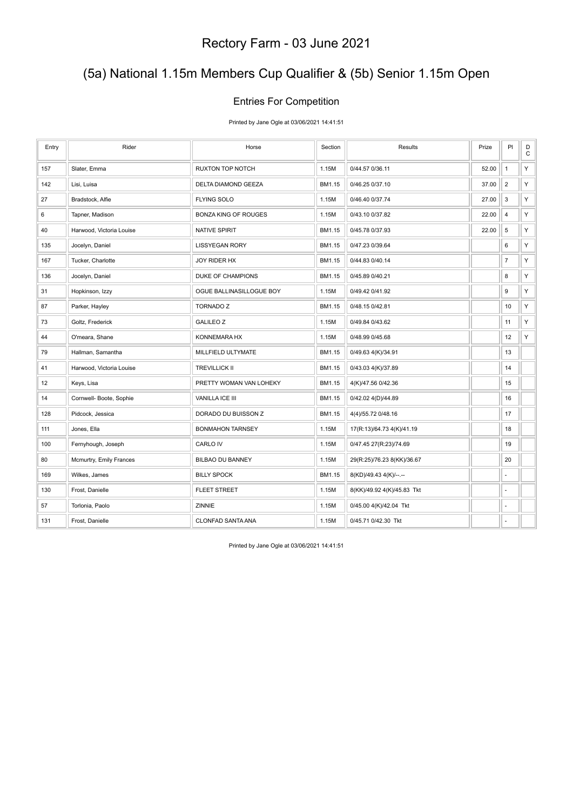## (5a) National 1.15m Members Cup Qualifier & (5b) Senior 1.15m Open

#### Entries For Competition

Printed by Jane Ogle at 03/06/2021 14:41:51

| Entry | Rider                    | Horse                       | Section | Results                    | Prize | PI                      | D<br>$\mathbf C$ |
|-------|--------------------------|-----------------------------|---------|----------------------------|-------|-------------------------|------------------|
| 157   | Slater, Emma             | RUXTON TOP NOTCH            | 1.15M   | 0/44.57 0/36.11            | 52.00 | $\mathbf{1}$            | Y                |
| 142   | Lisi, Luisa              | DELTA DIAMOND GEEZA         | BM1.15  | 0/46.25 0/37.10            | 37.00 | $\overline{2}$          | Y                |
| 27    | Bradstock, Alfie         | <b>FLYING SOLO</b>          | 1.15M   | 0/46.40 0/37.74            | 27.00 | $\mathbf{3}$            | Y                |
| 6     | Tapner, Madison          | <b>BONZA KING OF ROUGES</b> | 1.15M   | 0/43.10 0/37.82            | 22.00 | $\overline{\mathbf{4}}$ | Υ                |
| 40    | Harwood, Victoria Louise | <b>NATIVE SPIRIT</b>        | BM1.15  | 0/45.78 0/37.93            | 22.00 | 5                       | Υ                |
| 135   | Jocelyn, Daniel          | <b>LISSYEGAN RORY</b>       | BM1.15  | 0/47.23 0/39.64            |       | 6                       | Υ                |
| 167   | Tucker, Charlotte        | JOY RIDER HX                | BM1.15  | 0/44.83 0/40.14            |       | $\overline{7}$          | Υ                |
| 136   | Jocelyn, Daniel          | DUKE OF CHAMPIONS           | BM1.15  | 0/45.89 0/40.21            |       | 8                       | Υ                |
| 31    | Hopkinson, Izzy          | OGUE BALLINASILLOGUE BOY    | 1.15M   | 0/49.42 0/41.92            |       | 9                       | Y                |
| 87    | Parker, Hayley           | <b>TORNADO Z</b>            | BM1.15  | 0/48.15 0/42.81            |       | 10                      | Υ                |
| 73    | Goltz, Frederick         | <b>GALILEO Z</b>            | 1.15M   | 0/49.84 0/43.62            |       | 11                      | Υ                |
| 44    | O'meara, Shane           | KONNEMARA HX                | 1.15M   | 0/48.99 0/45.68            |       | 12                      | Υ                |
| 79    | Hallman, Samantha        | MILLFIELD ULTYMATE          | BM1.15  | 0/49.63 4(K)/34.91         |       | 13                      |                  |
| 41    | Harwood, Victoria Louise | <b>TREVILLICK II</b>        | BM1.15  | 0/43.03 4(K)/37.89         |       | 14                      |                  |
| 12    | Keys, Lisa               | PRETTY WOMAN VAN LOHEKY     | BM1.15  | 4(K)/47.56 0/42.36         |       | 15                      |                  |
| 14    | Cornwell- Boote, Sophie  | <b>VANILLA ICE III</b>      | BM1.15  | 0/42.02 4(D)/44.89         |       | 16                      |                  |
| 128   | Pidcock, Jessica         | DORADO DU BUISSON Z         | BM1.15  | 4(4)/55.72 0/48.16         |       | 17                      |                  |
| 111   | Jones, Ella              | <b>BONMAHON TARNSEY</b>     | 1.15M   | 17(R:13)/64.73 4(K)/41.19  |       | 18                      |                  |
| 100   | Fernyhough, Joseph       | CARLO IV                    | 1.15M   | 0/47.45 27(R:23)/74.69     |       | 19                      |                  |
| 80    | Mcmurtry, Emily Frances  | <b>BILBAO DU BANNEY</b>     | 1.15M   | 29(R:25)/76.23 8(KK)/36.67 |       | 20                      |                  |
| 169   | Wilkes, James            | <b>BILLY SPOCK</b>          | BM1.15  | 8(KD)/49.43 4(K)/--.--     |       | ä,                      |                  |
| 130   | Frost, Danielle          | <b>FLEET STREET</b>         | 1.15M   | 8(KK)/49.92 4(K)/45.83 Tkt |       | ÷,                      |                  |
| 57    | Torlonia, Paolo          | ZINNIE                      | 1.15M   | 0/45.00 4(K)/42.04 Tkt     |       | ä,                      |                  |
| 131   | Frost, Danielle          | <b>CLONFAD SANTA ANA</b>    | 1.15M   | 0/45.71 0/42.30 Tkt        |       | ä,                      |                  |

Printed by Jane Ogle at 03/06/2021 14:41:51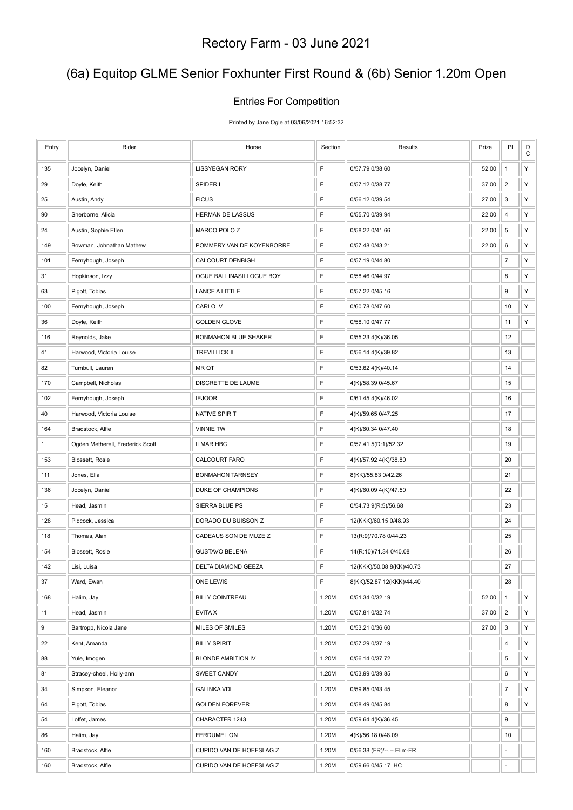## (6a) Equitop GLME Senior Foxhunter First Round & (6b) Senior 1.20m Open

#### Entries For Competition

Printed by Jane Ogle at 03/06/2021 16:52:32

| Entry | Rider                            | Horse                       | Section     | Results                    | Prize | PI                      | $_{\rm C}^{\rm D}$ |
|-------|----------------------------------|-----------------------------|-------------|----------------------------|-------|-------------------------|--------------------|
| 135   | Jocelyn, Daniel                  | <b>LISSYEGAN RORY</b>       | F           | 0/57.79 0/38.60            | 52.00 | $\mathbf{1}$            | Υ                  |
| 29    | Doyle, Keith                     | SPIDER I                    | F           | 0/57.12 0/38.77            | 37.00 | $\overline{2}$          | Υ                  |
| 25    | Austin, Andy                     | <b>FICUS</b>                | $\mathsf F$ | 0/56.12 0/39.54            | 27.00 | 3                       | Υ                  |
| 90    | Sherborne, Alicia                | HERMAN DE LASSUS            | $\mathsf F$ | 0/55.70 0/39.94            | 22.00 | $\overline{\mathbf{4}}$ | Υ                  |
| 24    | Austin, Sophie Ellen             | MARCO POLO Z                | F           | 0/58.22 0/41.66            | 22.00 | 5                       | Υ                  |
| 149   | Bowman, Johnathan Mathew         | POMMERY VAN DE KOYENBORRE   | $\mathsf F$ | 0/57.48 0/43.21            | 22.00 | 6                       | Υ                  |
| 101   | Fernyhough, Joseph               | CALCOURT DENBIGH            | F           | 0/57.19 0/44.80            |       | $\overline{7}$          | Υ                  |
| 31    | Hopkinson, Izzy                  | OGUE BALLINASILLOGUE BOY    | $\mathsf F$ | 0/58.46 0/44.97            |       | 8                       | Υ                  |
| 63    | Pigott, Tobias                   | <b>LANCE A LITTLE</b>       | $\mathsf F$ | 0/57.22 0/45.16            |       | 9                       | Υ                  |
| 100   | Fernyhough, Joseph               | CARLO IV                    | F           | 0/60.78 0/47.60            |       | 10                      | Υ                  |
| 36    | Doyle, Keith                     | <b>GOLDEN GLOVE</b>         | $\mathsf F$ | 0/58.10 0/47.77            |       | 11                      | Υ                  |
| 116   | Reynolds, Jake                   | <b>BONMAHON BLUE SHAKER</b> | F           | 0/55.23 4(K)/36.05         |       | 12                      |                    |
| 41    | Harwood, Victoria Louise         | <b>TREVILLICK II</b>        | $\mathsf F$ | 0/56.14 4(K)/39.82         |       | 13                      |                    |
| 82    | Turnbull, Lauren                 | MR QT                       | F           | 0/53.62 4(K)/40.14         |       | 14                      |                    |
| 170   | Campbell, Nicholas               | DISCRETTE DE LAUME          | F           | 4(K)/58.39 0/45.67         |       | 15                      |                    |
| 102   | Fernyhough, Joseph               | <b>IEJOOR</b>               | $\mathsf F$ | 0/61.45 4(K)/46.02         |       | 16                      |                    |
| 40    | Harwood, Victoria Louise         | NATIVE SPIRIT               | F           | 4(K)/59.65 0/47.25         |       | 17                      |                    |
| 164   | Bradstock, Alfie                 | <b>VINNIE TW</b>            | F           | 4(K)/60.34 0/47.40         |       | 18                      |                    |
| 1     | Ogden Metherell, Frederick Scott | <b>ILMAR HBC</b>            | F           | 0/57.41 5(D:1)/52.32       |       | 19                      |                    |
| 153   | Blossett, Rosie                  | CALCOURT FARO               | $\mathsf F$ | 4(K)/57.92 4(K)/38.80      |       | 20                      |                    |
| 111   | Jones, Ella                      | <b>BONMAHON TARNSEY</b>     | $\mathsf F$ | 8(KK)/55.83 0/42.26        |       | 21                      |                    |
| 136   | Jocelyn, Daniel                  | DUKE OF CHAMPIONS           | F           | 4(K)/60.09 4(K)/47.50      |       | 22                      |                    |
| 15    | Head, Jasmin                     | SIERRA BLUE PS              | $\mathsf F$ | 0/54.73 9(R:5)/56.68       |       | 23                      |                    |
| 128   | Pidcock, Jessica                 | DORADO DU BUISSON Z         | $\mathsf F$ | 12(KKK)/60.15 0/48.93      |       | 24                      |                    |
| 118   | Thomas, Alan                     | CADEAUS SON DE MUZE Z       | F           | 13(R:9)/70.78 0/44.23      |       | 25                      |                    |
| 154   | Blossett, Rosie                  | <b>GUSTAVO BELENA</b>       | $\mathsf F$ | 14(R:10)/71.34 0/40.08     |       | 26                      |                    |
| 142   | Lisi, Luisa                      | DELTA DIAMOND GEEZA         | F           | 12(KKK)/50.08 8(KK)/40.73  |       | 27                      |                    |
| 37    | Ward, Ewan                       | ONE LEWIS                   | F           | 8(KK)/52.87 12(KKK)/44.40  |       | 28                      |                    |
| 168   | Halim, Jay                       | <b>BILLY COINTREAU</b>      | 1.20M       | 0/51.34 0/32.19            | 52.00 | $\mathbf{1}$            | Y                  |
| 11    | Head, Jasmin                     | EVITA X                     | 1.20M       | 0/57.81 0/32.74            | 37.00 | $\overline{c}$          | Y                  |
| 9     | Bartropp, Nicola Jane            | MILES OF SMILES             | 1.20M       | 0/53.21 0/36.60            | 27.00 | 3                       | Y                  |
| 22    | Kent, Amanda                     | <b>BILLY SPIRIT</b>         | 1.20M       | 0/57.29 0/37.19            |       | 4                       | Y                  |
| 88    | Yule, Imogen                     | BLONDE AMBITION IV          | 1.20M       | 0/56.14 0/37.72            |       | 5                       | Y                  |
| 81    | Stracey-cheel, Holly-ann         | SWEET CANDY                 | 1.20M       | 0/53.99 0/39.85            |       | 6                       | Y                  |
| 34    | Simpson, Eleanor                 | <b>GALINKA VDL</b>          | 1.20M       | 0/59.85 0/43.45            |       | $\overline{7}$          | Y                  |
| 64    | Pigott, Tobias                   | <b>GOLDEN FOREVER</b>       | 1.20M       | 0/58.49 0/45.84            |       | 8                       | Y                  |
| 54    | Loffet, James                    | CHARACTER 1243              | 1.20M       | 0/59.64 4(K)/36.45         |       | 9                       |                    |
| 86    | Halim, Jay                       | <b>FERDUMELION</b>          | 1.20M       | 4(K)/56.18 0/48.09         |       | 10                      |                    |
| 160   | Bradstock, Alfie                 | CUPIDO VAN DE HOEFSLAG Z    | 1.20M       | 0/56.38 (FR)/--.-- Elim-FR |       | ÷,                      |                    |
| 160   | Bradstock, Alfie                 | CUPIDO VAN DE HOEFSLAG Z    | 1.20M       | 0/59.66 0/45.17 HC         |       |                         |                    |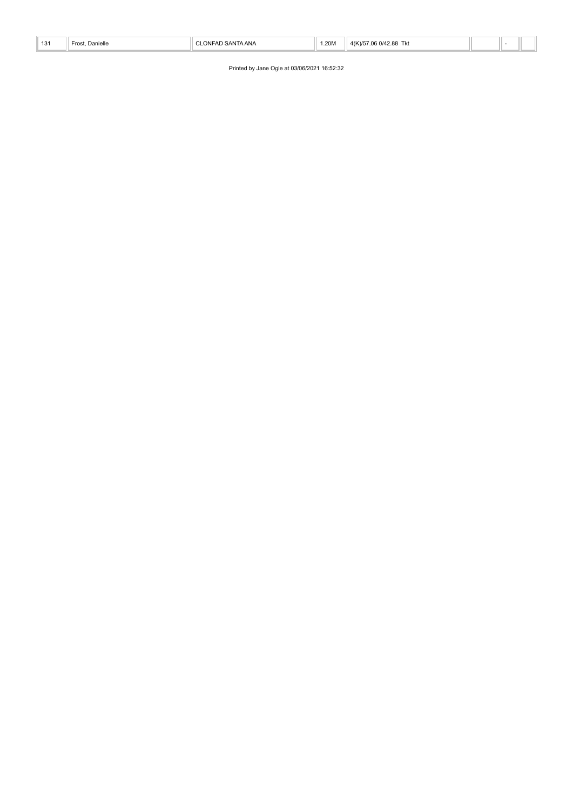| 131 | Danielle<br>Frost. | <b>ANA</b><br>$\sim$ $\mu$ | .20M | 06 0/42.88<br>$4$ (K<br>Tkt |  |  |
|-----|--------------------|----------------------------|------|-----------------------------|--|--|

Printed by Jane Ogle at 03/06/2021 16:52:32